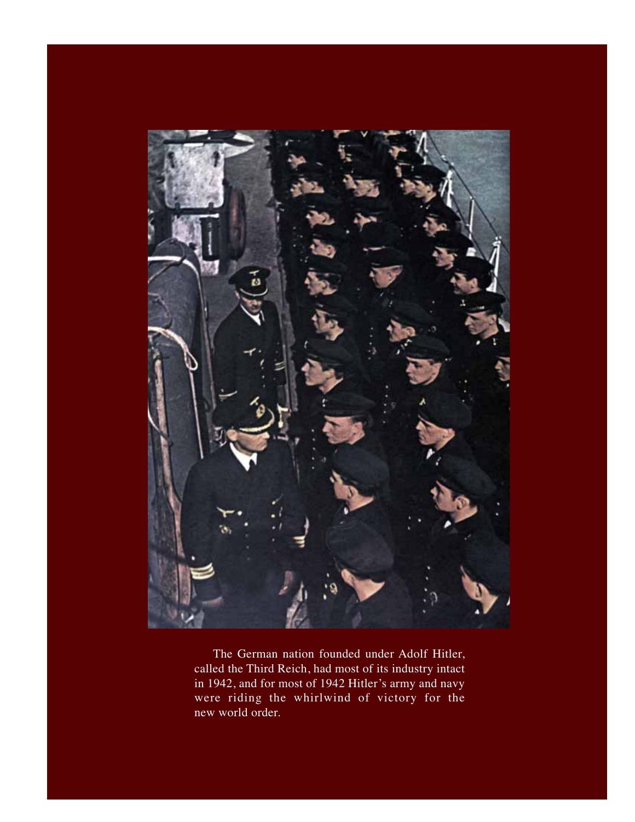

were riding the whirlwind of victory for the The German nation founded under Adolf Hitler, called the Third Reich, had most of its industry intact in 1942, and for most of 1942 Hitler's army and navy new world order.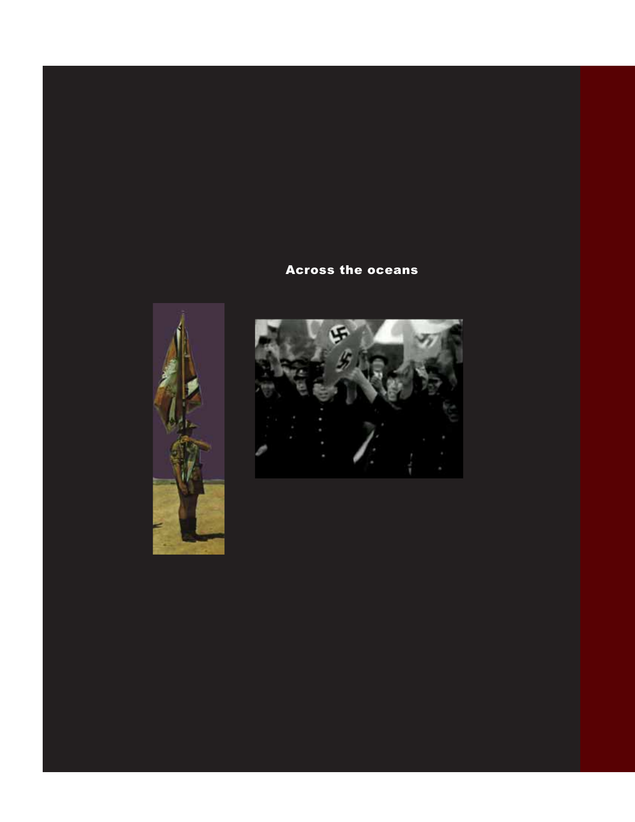## Across the oceans



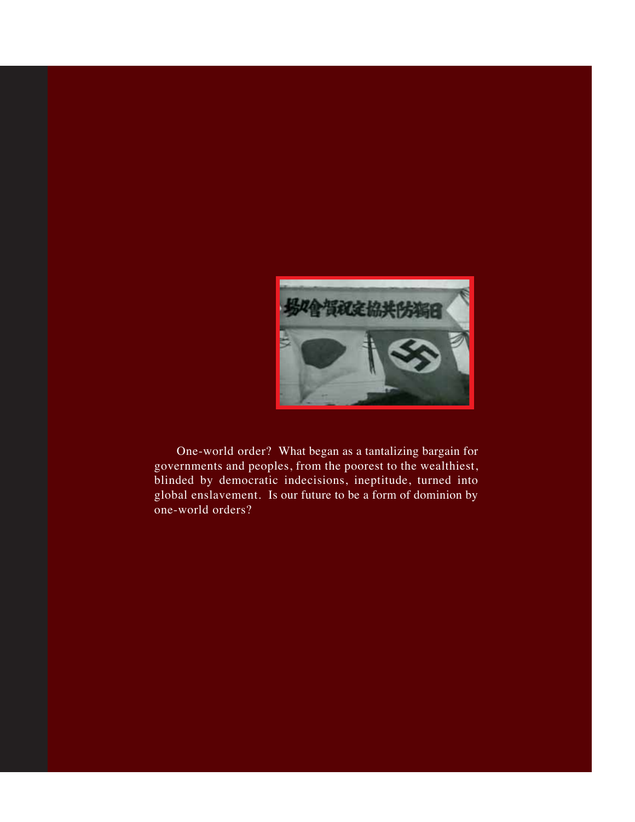

 One-world order? What began as a tantalizing bargain for governments and peoples, from the poorest to the wealthiest, blinded by democratic indecisions, ineptitude, turned into global enslavement. Is our future to be a form of dominion by one-world orders?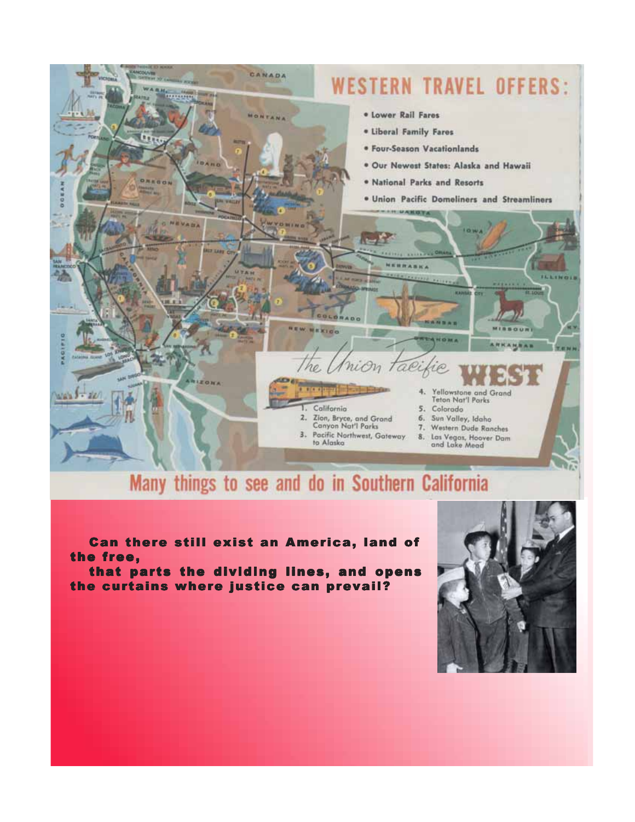

## Many things to see and do in Southern California

Can there still exist an America, land of the free,

that parts the dividing lines, and opens the curtains where justice can prevail?

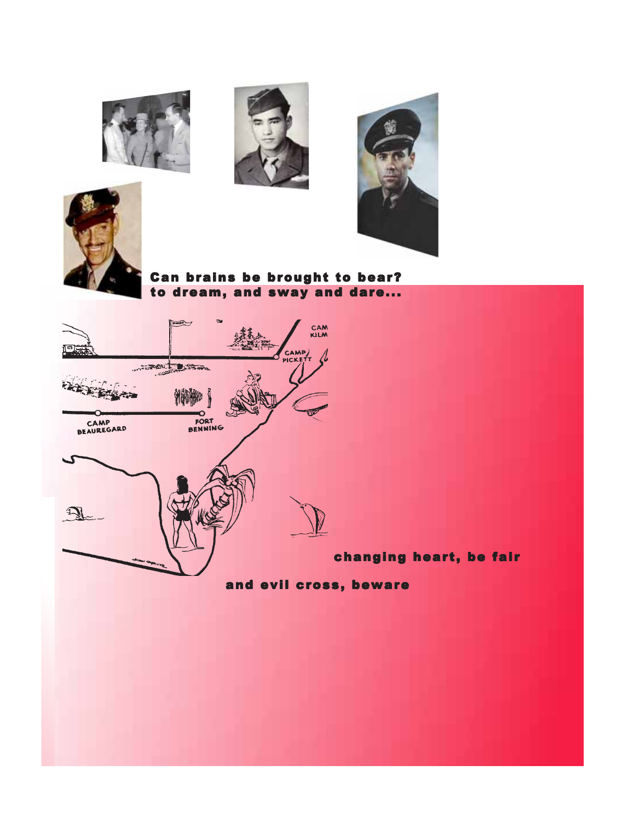







Can brains be brought to bear? to dream, and sway and dare...



and evil cross, beware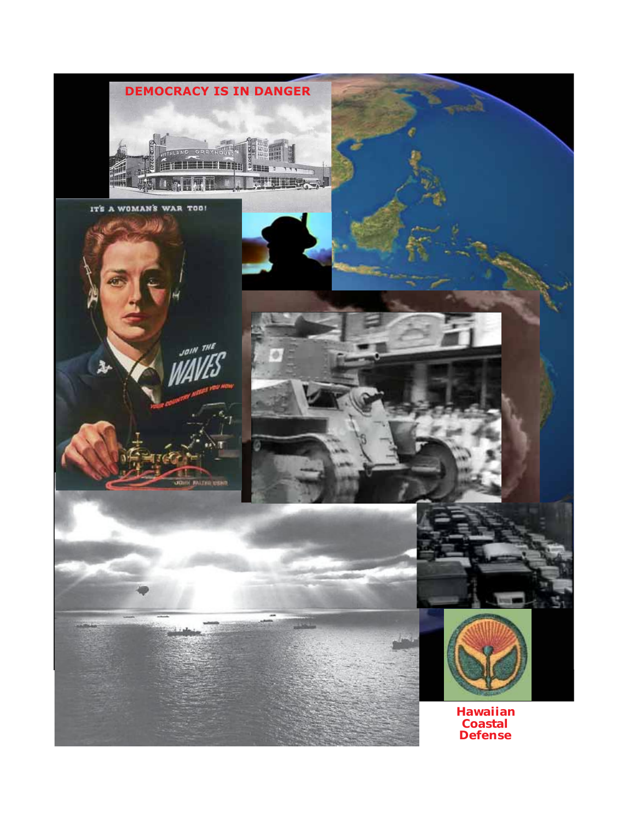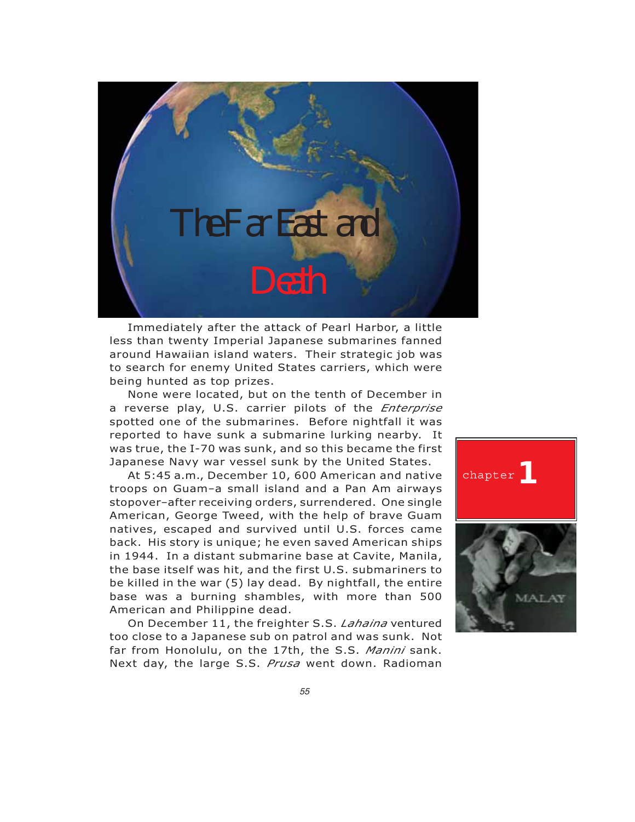

Immediately after the attack of Pearl Harbor, a little less than twenty Imperial Japanese submarines fanned around Hawaiian island waters. Their strategic job was to search for enemy United States carriers, which were being hunted as top prizes.

None were located, but on the tenth of December in a reverse play, U.S. carrier pilots of the *Enterprise* spotted one of the submarines. Before nightfall it was reported to have sunk a submarine lurking nearby. It was true, the I-70 was sunk, and so this became the first Japanese Navy war vessel sunk by the United States.

At 5:45 a.m., December 10, 600 American and native troops on Guam–a small island and a Pan Am airways stopover–after receiving orders, surrendered. One single American, George Tweed, with the help of brave Guam natives, escaped and survived until U.S. forces came back. His story is unique; he even saved American ships in 1944. In <sup>a</sup> distant submarine base at Cavite, Manila, the base itself was hit, and the first U.S. submariners to be killed in the war (5) lay dead. By nightfall, the entire base was a burning shambles, with more than 500 American and Philippine dead.

On December 11, the freighter S.S. *Lahaina* ventured too close to a Japanese sub on patrol and was sunk. Not far from Honolulu, on the 17th, the S.S. *Manini* sank. Next day, the large S.S. *Prusa* went down. Radioman

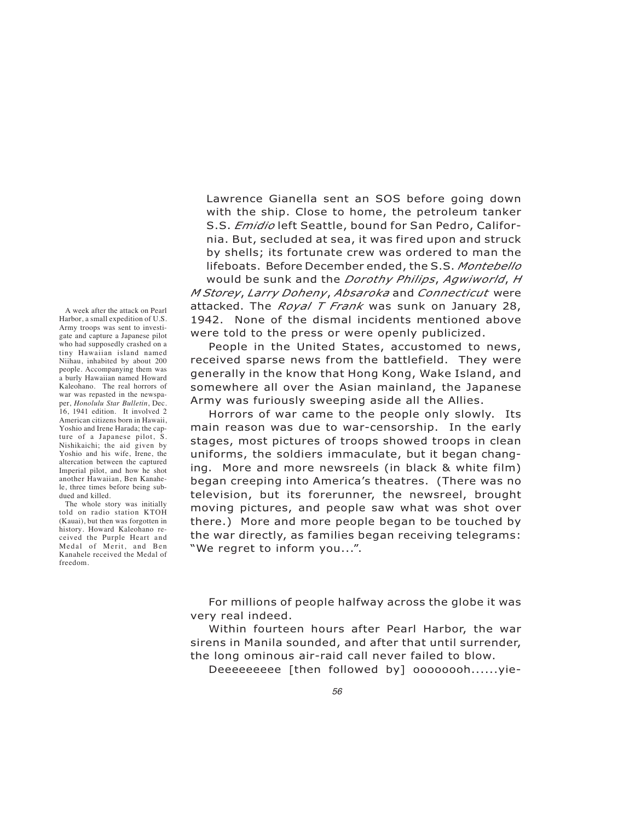Lawrence Gianella sent an SOS before going down with the ship. Close to home, the petroleum tanker S.S. *Emidio* left Seattle, bound for San Pedro, California. But, secluded at sea, it was fired upon and struck by shells; its fortunate crew was ordered to man the lifeboats. Before December ended, the S.S. *Montebello*

would be sunk and the *Dorothy Philips*, *Agwiworld*,*<sup>H</sup> M Storey*, *Larry Doheny*, *Absaroka* and *Connecticut* were attacked. The *Royal T Frank* was sunk on January 28, 1942. None of the dismal incidents mentioned above were told to the press or were openly publicized.

People in the United States, accustomed to news, received sparse news from the battlefield. They were generally in the know that Hong Kong, Wake Island, and somewhere all over the Asian mainland, the Japanese Army was furiously sweeping aside all the Allies.

Horrors of war came to the people only slowly. Its main reason was due to war-censorship. In the early stages, most pictures of troops showed troops in clean uniforms, the soldiers immaculate, but it began changing. More and more newsreels (in black & white film) began creeping into America's theatres. (There was no television, but its forerunner, the newsreel, brought moving pictures, and people saw what was shot over there.) More and more people began to be touched by the war directly, as families began receiving telegrams: "We regret to inform you...".

For millions of people halfway across the globe it was very real indeed.

Within fourteen hours after Pearl Harbor, the war sirens in Manila sounded, and after that until surrender, the long ominous air-raid call never failed to blow.

Deeeeeeeee [then followed by] oooooooh......yie-

A week after the attack on Pearl Harbor, a small expedition of U.S. Army troops was sent to investigate and capture a Japanese pilot who had supposedly crashed on a tiny Hawaiian island named Niihau, inhabited by about 200 people. Accompanying them was a burly Hawaiian named Howard Kaleohano. The real horrors of war was repasted in the newspaper, *Honolulu Star Bulletin*, Dec. 16, 1941 edition. It involved 2 American citizens born in Hawaii, Yoshio and Irene Harada; the capture of a Japanese pilot, S. Nishikaichi; the aid given by Yoshio and his wife, Irene, the altercation between the captured Imperial pilot, and how he shot another Hawaiian, Ben Kanahele, three times before being subdued and killed.

The whole story was initially told on radio station KTOH (Kauai), but then was forgotten in history. Howard Kaleohano received the Purple Heart and Medal of Merit, and Ben Kanahele received the Medal of freedom.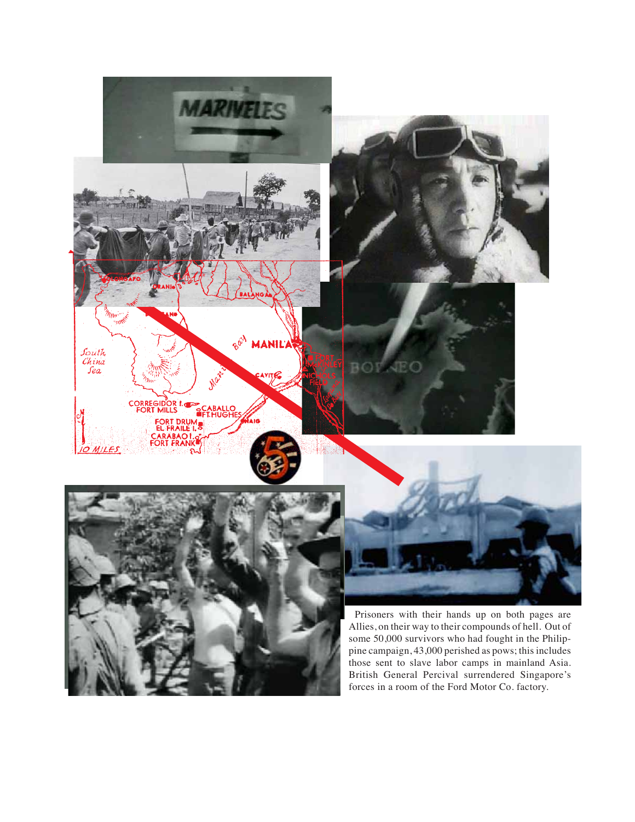